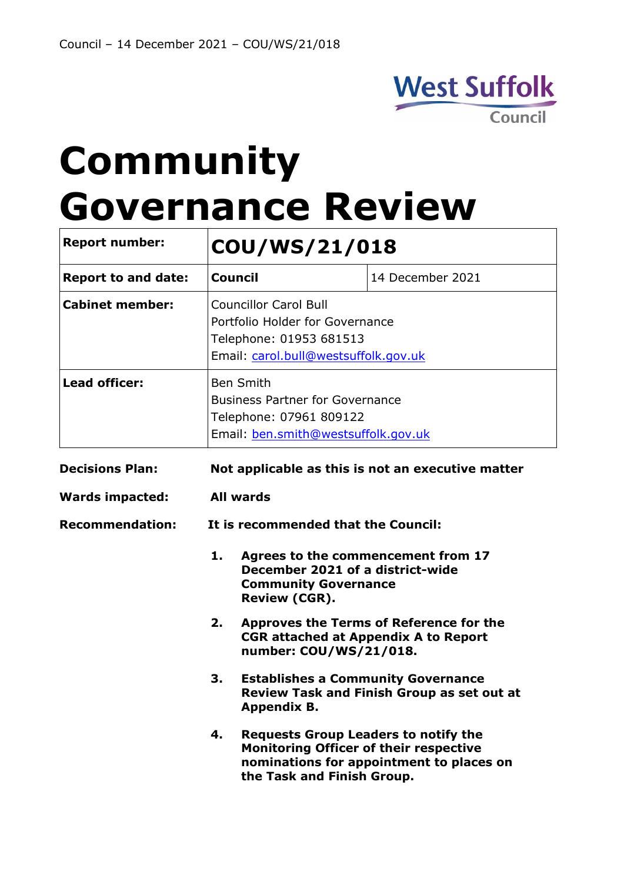

# **Community Governance Review**

| <b>Report number:</b>      | COU/WS/21/018                                                                                                                       |                                                                                                                            |                                                   |  |
|----------------------------|-------------------------------------------------------------------------------------------------------------------------------------|----------------------------------------------------------------------------------------------------------------------------|---------------------------------------------------|--|
| <b>Report to and date:</b> |                                                                                                                                     | <b>Council</b>                                                                                                             | 14 December 2021                                  |  |
| <b>Cabinet member:</b>     | <b>Councillor Carol Bull</b><br>Portfolio Holder for Governance<br>Telephone: 01953 681513<br>Email: carol.bull@westsuffolk.gov.uk  |                                                                                                                            |                                                   |  |
| <b>Lead officer:</b>       | <b>Ben Smith</b><br><b>Business Partner for Governance</b><br>Telephone: 07961 809122<br>Email: ben.smith@westsuffolk.gov.uk        |                                                                                                                            |                                                   |  |
| <b>Decisions Plan:</b>     | Not applicable as this is not an executive matter                                                                                   |                                                                                                                            |                                                   |  |
| <b>Wards impacted:</b>     | <b>All wards</b>                                                                                                                    |                                                                                                                            |                                                   |  |
| <b>Recommendation:</b>     |                                                                                                                                     | It is recommended that the Council:                                                                                        |                                                   |  |
|                            | 1.<br>Agrees to the commencement from 17<br>December 2021 of a district-wide<br><b>Community Governance</b><br><b>Review (CGR).</b> |                                                                                                                            |                                                   |  |
|                            | 2.                                                                                                                                  | <b>Approves the Terms of Reference for the</b><br><b>CGR attached at Appendix A to Report</b><br>number: COU/WS/21/018.    |                                                   |  |
|                            | 3.                                                                                                                                  | <b>Establishes a Community Governance</b><br><b>Appendix B.</b>                                                            | <b>Review Task and Finish Group as set out at</b> |  |
|                            | 4.                                                                                                                                  | <b>Requests Group Leaders to notify the</b><br><b>Monitoring Officer of their respective</b><br>the Task and Finish Group. | nominations for appointment to places on          |  |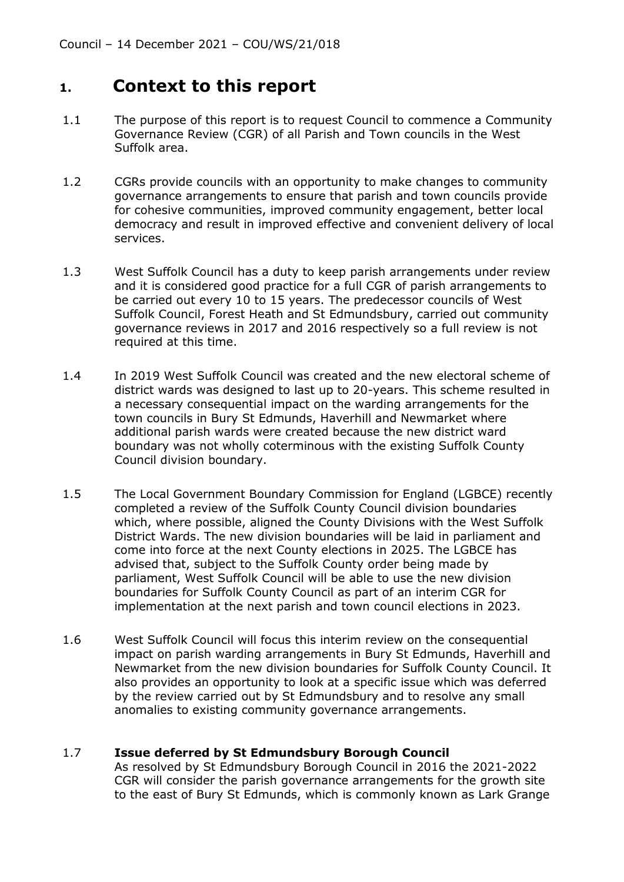#### **1. Context to this report**

- 1.1 The purpose of this report is to request Council to commence a Community Governance Review (CGR) of all Parish and Town councils in the West Suffolk area.
- 1.2 CGRs provide councils with an opportunity to make changes to community governance arrangements to ensure that parish and town councils provide for cohesive communities, improved community engagement, better local democracy and result in improved effective and convenient delivery of local services.
- 1.3 West Suffolk Council has a duty to keep parish arrangements under review and it is considered good practice for a full CGR of parish arrangements to be carried out every 10 to 15 years. The predecessor councils of West Suffolk Council, Forest Heath and St Edmundsbury, carried out community governance reviews in 2017 and 2016 respectively so a full review is not required at this time.
- 1.4 In 2019 West Suffolk Council was created and the new electoral scheme of district wards was designed to last up to 20-years. This scheme resulted in a necessary consequential impact on the warding arrangements for the town councils in Bury St Edmunds, Haverhill and Newmarket where additional parish wards were created because the new district ward boundary was not wholly coterminous with the existing Suffolk County Council division boundary.
- 1.5 The Local Government Boundary Commission for England (LGBCE) recently completed a review of the Suffolk County Council division boundaries which, where possible, aligned the County Divisions with the West Suffolk District Wards. The new division boundaries will be laid in parliament and come into force at the next County elections in 2025. The LGBCE has advised that, subject to the Suffolk County order being made by parliament, West Suffolk Council will be able to use the new division boundaries for Suffolk County Council as part of an interim CGR for implementation at the next parish and town council elections in 2023.
- 1.6 West Suffolk Council will focus this interim review on the consequential impact on parish warding arrangements in Bury St Edmunds, Haverhill and Newmarket from the new division boundaries for Suffolk County Council. It also provides an opportunity to look at a specific issue which was deferred by the review carried out by St Edmundsbury and to resolve any small anomalies to existing community governance arrangements.

#### 1.7 **Issue deferred by St Edmundsbury Borough Council**

As resolved by St Edmundsbury Borough Council in 2016 the 2021-2022 CGR will consider the parish governance arrangements for the growth site to the east of Bury St Edmunds, which is commonly known as Lark Grange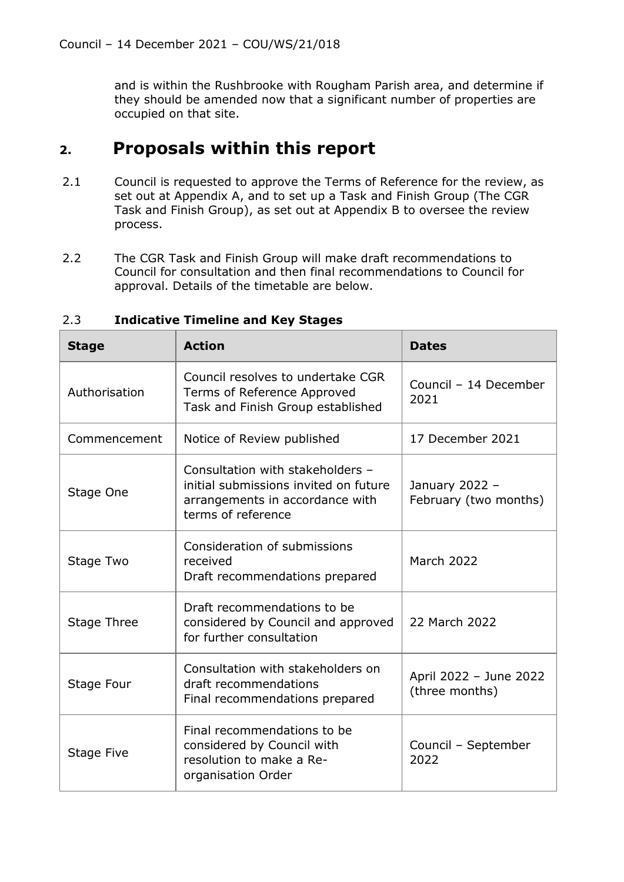and is within the Rushbrooke with Rougham Parish area, and determine if they should be amended now that a significant number of properties are occupied on that site.

### **2. Proposals within this report**

- 2.1 Council is requested to approve the Terms of Reference for the review, as set out at Appendix A, and to set up a Task and Finish Group (The CGR Task and Finish Group), as set out at Appendix B to oversee the review process.
- 2.2 The CGR Task and Finish Group will make draft recommendations to Council for consultation and then final recommendations to Council for approval. Details of the timetable are below.

| <b>Stage</b>  | <b>Action</b>                                                                                                                      | <b>Dates</b>                             |
|---------------|------------------------------------------------------------------------------------------------------------------------------------|------------------------------------------|
| Authorisation | Council resolves to undertake CGR<br>Terms of Reference Approved<br>Task and Finish Group established                              | Council - 14 December<br>2021            |
| Commencement  | Notice of Review published                                                                                                         | 17 December 2021                         |
| Stage One     | Consultation with stakeholders -<br>initial submissions invited on future<br>arrangements in accordance with<br>terms of reference | January 2022 -<br>February (two months)  |
| Stage Two     | Consideration of submissions<br>received<br>Draft recommendations prepared                                                         | <b>March 2022</b>                        |
| Stage Three   | Draft recommendations to be<br>considered by Council and approved<br>for further consultation                                      | 22 March 2022                            |
| Stage Four    | Consultation with stakeholders on<br>draft recommendations<br>Final recommendations prepared                                       | April 2022 - June 2022<br>(three months) |
| Stage Five    | Final recommendations to be<br>considered by Council with<br>resolution to make a Re-<br>organisation Order                        | Council - September<br>2022              |

#### 2.3 **Indicative Timeline and Key Stages**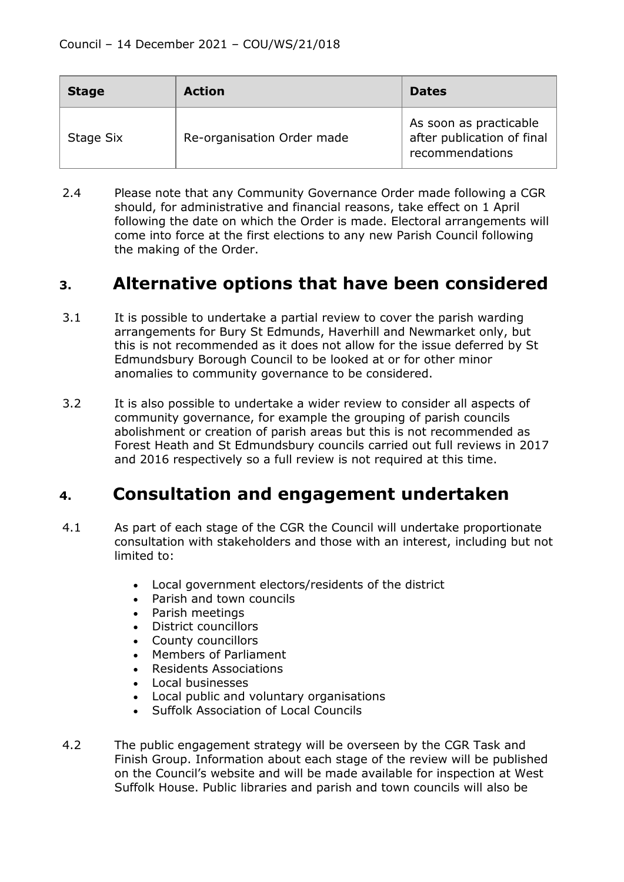| <b>Stage</b> | <b>Action</b>              | <b>Dates</b>                                                            |
|--------------|----------------------------|-------------------------------------------------------------------------|
| Stage Six    | Re-organisation Order made | As soon as practicable<br>after publication of final<br>recommendations |

2.4 Please note that any Community Governance Order made following a CGR should, for administrative and financial reasons, take effect on 1 April following the date on which the Order is made. Electoral arrangements will come into force at the first elections to any new Parish Council following the making of the Order.

### **3. Alternative options that have been considered**

- 3.1 It is possible to undertake a partial review to cover the parish warding arrangements for Bury St Edmunds, Haverhill and Newmarket only, but this is not recommended as it does not allow for the issue deferred by St Edmundsbury Borough Council to be looked at or for other minor anomalies to community governance to be considered.
- 3.2 It is also possible to undertake a wider review to consider all aspects of community governance, for example the grouping of parish councils abolishment or creation of parish areas but this is not recommended as Forest Heath and St Edmundsbury councils carried out full reviews in 2017 and 2016 respectively so a full review is not required at this time.

## **4. Consultation and engagement undertaken**

- 4.1 As part of each stage of the CGR the Council will undertake proportionate consultation with stakeholders and those with an interest, including but not limited to:
	- Local government electors/residents of the district
	- Parish and town councils
	- Parish meetings
	- District councillors
	- County councillors
	- Members of Parliament
	- Residents Associations
	- Local businesses
	- Local public and voluntary organisations
	- Suffolk Association of Local Councils
- 4.2 The public engagement strategy will be overseen by the CGR Task and Finish Group. Information about each stage of the review will be published on the Council's website and will be made available for inspection at West Suffolk House. Public libraries and parish and town councils will also be